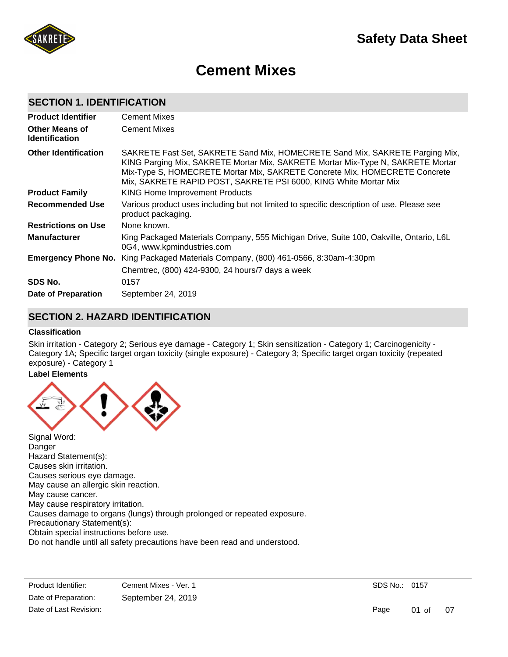

# **Cement Mixes**

# **SECTION 1. IDENTIFICATION**

| <b>Product Identifier</b>                      | <b>Cement Mixes</b>                                                                                                                                                                                                                                                                                               |
|------------------------------------------------|-------------------------------------------------------------------------------------------------------------------------------------------------------------------------------------------------------------------------------------------------------------------------------------------------------------------|
| <b>Other Means of</b><br><b>Identification</b> | <b>Cement Mixes</b>                                                                                                                                                                                                                                                                                               |
| <b>Other Identification</b>                    | SAKRETE Fast Set, SAKRETE Sand Mix, HOMECRETE Sand Mix, SAKRETE Parging Mix,<br>KING Parging Mix, SAKRETE Mortar Mix, SAKRETE Mortar Mix-Type N, SAKRETE Mortar<br>Mix-Type S, HOMECRETE Mortar Mix, SAKRETE Concrete Mix, HOMECRETE Concrete<br>Mix, SAKRETE RAPID POST, SAKRETE PSI 6000, KING White Mortar Mix |
| <b>Product Family</b>                          | <b>KING Home Improvement Products</b>                                                                                                                                                                                                                                                                             |
| Recommended Use                                | Various product uses including but not limited to specific description of use. Please see<br>product packaging.                                                                                                                                                                                                   |
| <b>Restrictions on Use</b>                     | None known.                                                                                                                                                                                                                                                                                                       |
| <b>Manufacturer</b>                            | King Packaged Materials Company, 555 Michigan Drive, Suite 100, Oakville, Ontario, L6L<br>0G4, www.kpmindustries.com                                                                                                                                                                                              |
| <b>Emergency Phone No.</b>                     | King Packaged Materials Company, (800) 461-0566, 8:30am-4:30pm                                                                                                                                                                                                                                                    |
|                                                | Chemtrec, (800) 424-9300, 24 hours/7 days a week                                                                                                                                                                                                                                                                  |
| SDS No.                                        | 0157                                                                                                                                                                                                                                                                                                              |
| Date of Preparation                            | September 24, 2019                                                                                                                                                                                                                                                                                                |

# **SECTION 2. HAZARD IDENTIFICATION**

#### **Classification**

Skin irritation - Category 2; Serious eye damage - Category 1; Skin sensitization - Category 1; Carcinogenicity - Category 1A; Specific target organ toxicity (single exposure) - Category 3; Specific target organ toxicity (repeated exposure) - Category 1

# **Label Elements**



Danger Hazard Statement(s): Causes skin irritation. Causes serious eye damage. May cause an allergic skin reaction. May cause cancer. May cause respiratory irritation. Causes damage to organs (lungs) through prolonged or repeated exposure. Precautionary Statement(s): Obtain special instructions before use. Do not handle until all safety precautions have been read and understood.

Product Identifier: Cement Mixes - Ver. 1  $\Gamma$ Do not be dust be due to be due to be due to be due to  $\Gamma$ Date of Preparation: September 24, 2019 Date of Last Revision: Get medical advice and advice at the concerned and advice at the concerned and advice Date of Preparation:

SDS No.: 0157

Page 01 of 07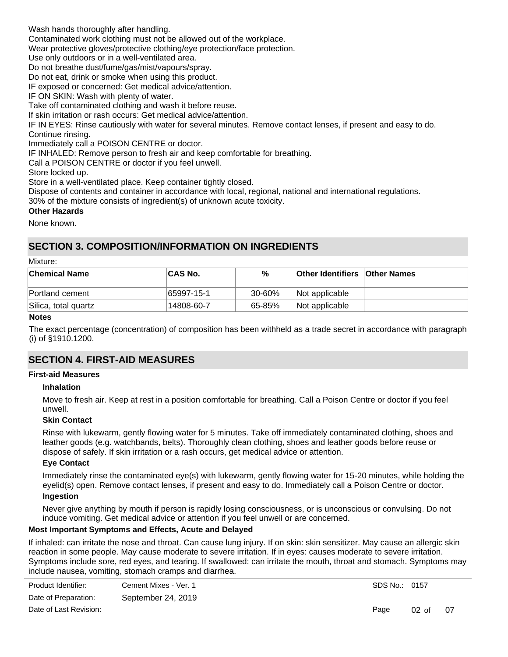Wash hands thoroughly after handling.

Contaminated work clothing must not be allowed out of the workplace.

Wear protective gloves/protective clothing/eye protection/face protection.

Use only outdoors or in a well-ventilated area.

Do not breathe dust/fume/gas/mist/vapours/spray.

Do not eat, drink or smoke when using this product.

IF exposed or concerned: Get medical advice/attention.

IF ON SKIN: Wash with plenty of water.

Take off contaminated clothing and wash it before reuse.

If skin irritation or rash occurs: Get medical advice/attention.

IF IN EYES: Rinse cautiously with water for several minutes. Remove contact lenses, if present and easy to do. Continue rinsing.

Immediately call a POISON CENTRE or doctor.

IF INHALED: Remove person to fresh air and keep comfortable for breathing.

Call a POISON CENTRE or doctor if you feel unwell.

Store locked up.

Store in a well-ventilated place. Keep container tightly closed.

Dispose of contents and container in accordance with local, regional, national and international regulations.

30% of the mixture consists of ingredient(s) of unknown acute toxicity.

#### **Other Hazards**

None known.

# **SECTION 3. COMPOSITION/INFORMATION ON INGREDIENTS**

#### Mixture:

| <b>CAS No.</b> | %      |                |                                      |
|----------------|--------|----------------|--------------------------------------|
| 65997-15-1     | 30-60% | Not applicable |                                      |
| 14808-60-7     | 65-85% | Not applicable |                                      |
|                |        |                | <b>Other Identifiers Other Names</b> |

#### **Notes**

The exact percentage (concentration) of composition has been withheld as a trade secret in accordance with paragraph (i) of §1910.1200.

# **SECTION 4. FIRST-AID MEASURES**

# **First-aid Measures**

# **Inhalation**

Move to fresh air. Keep at rest in a position comfortable for breathing. Call a Poison Centre or doctor if you feel unwell.

# **Skin Contact**

Rinse with lukewarm, gently flowing water for 5 minutes. Take off immediately contaminated clothing, shoes and leather goods (e.g. watchbands, belts). Thoroughly clean clothing, shoes and leather goods before reuse or dispose of safely. If skin irritation or a rash occurs, get medical advice or attention.

#### **Eye Contact**

Immediately rinse the contaminated eye(s) with lukewarm, gently flowing water for 15-20 minutes, while holding the eyelid(s) open. Remove contact lenses, if present and easy to do. Immediately call a Poison Centre or doctor.

# **Ingestion**

Never give anything by mouth if person is rapidly losing consciousness, or is unconscious or convulsing. Do not induce vomiting. Get medical advice or attention if you feel unwell or are concerned.

# **Most Important Symptoms and Effects, Acute and Delayed**

If inhaled: can irritate the nose and throat. Can cause lung injury. If on skin: skin sensitizer. May cause an allergic skin reaction in some people. May cause moderate to severe irritation. If in eyes: causes moderate to severe irritation. Symptoms include sore, red eyes, and tearing. If swallowed: can irritate the mouth, throat and stomach. Symptoms may include nausea, vomiting, stomach cramps and diarrhea.

| Product Identifier:    | Cement Mixes - Ver. 1 |
|------------------------|-----------------------|
| Date of Preparation:   | September 24, 2019    |
| Date of Last Revision: |                       |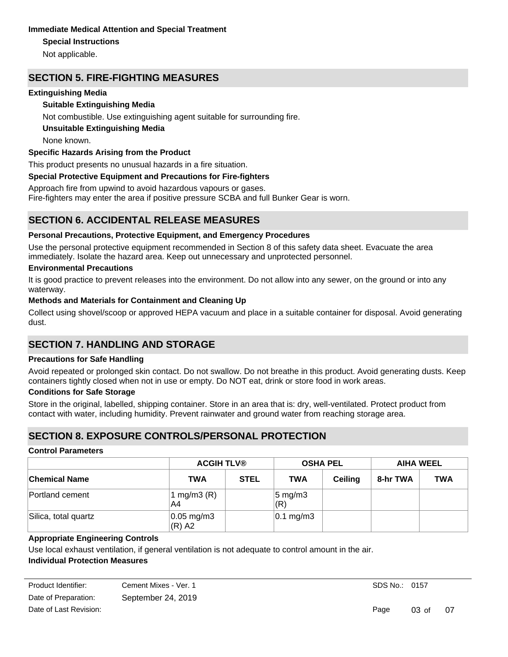# **Immediate Medical Attention and Special Treatment**

# **Special Instructions**

Not applicable.

# **SECTION 5. FIRE-FIGHTING MEASURES**

# **Extinguishing Media**

# **Suitable Extinguishing Media**

Not combustible. Use extinguishing agent suitable for surrounding fire.

# **Unsuitable Extinguishing Media**

None known.

# **Specific Hazards Arising from the Product**

This product presents no unusual hazards in a fire situation.

# **Special Protective Equipment and Precautions for Fire-fighters**

Approach fire from upwind to avoid hazardous vapours or gases.

Fire-fighters may enter the area if positive pressure SCBA and full Bunker Gear is worn.

# **SECTION 6. ACCIDENTAL RELEASE MEASURES**

# **Personal Precautions, Protective Equipment, and Emergency Procedures**

Use the personal protective equipment recommended in Section 8 of this safety data sheet. Evacuate the area immediately. Isolate the hazard area. Keep out unnecessary and unprotected personnel.

# **Environmental Precautions**

It is good practice to prevent releases into the environment. Do not allow into any sewer, on the ground or into any waterway.

# **Methods and Materials for Containment and Cleaning Up**

Collect using shovel/scoop or approved HEPA vacuum and place in a suitable container for disposal. Avoid generating dust.

# **SECTION 7. HANDLING AND STORAGE**

# **Precautions for Safe Handling**

Avoid repeated or prolonged skin contact. Do not swallow. Do not breathe in this product. Avoid generating dusts. Keep containers tightly closed when not in use or empty. Do NOT eat, drink or store food in work areas.

# **Conditions for Safe Storage**

Store in the original, labelled, shipping container. Store in an area that is: dry, well-ventilated. Protect product from contact with water, including humidity. Prevent rainwater and ground water from reaching storage area.

# **SECTION 8. EXPOSURE CONTROLS/PERSONAL PROTECTION**

# **Control Parameters**

|                      | <b>ACGIH TLV®</b>                  |             | <b>OSHA PEL</b>           |                | <b>AIHA WEEL</b> |            |
|----------------------|------------------------------------|-------------|---------------------------|----------------|------------------|------------|
| <b>Chemical Name</b> | <b>TWA</b>                         | <b>STEL</b> | <b>TWA</b>                | <b>Ceiling</b> | 8-hr TWA         | <b>TWA</b> |
| Portland cement      | 1 mg/m $3(R)$<br>A4                |             | $5 \text{ mg/m}$ 3<br>(R) |                |                  |            |
| Silica, total quartz | $ 0.05 \text{ mg/m3} $<br>$(R)$ A2 |             | $ 0.1 \text{ mg/m}3$      |                |                  |            |

# **Appropriate Engineering Controls**

Use local exhaust ventilation, if general ventilation is not adequate to control amount in the air.

# **Individual Protection Measures**

| Product Identifier:    | Cement Mixes - Ver. 1 |
|------------------------|-----------------------|
| Date of Preparation:   | September 24, 2019    |
| Date of Last Revision: |                       |

Page 03 of 07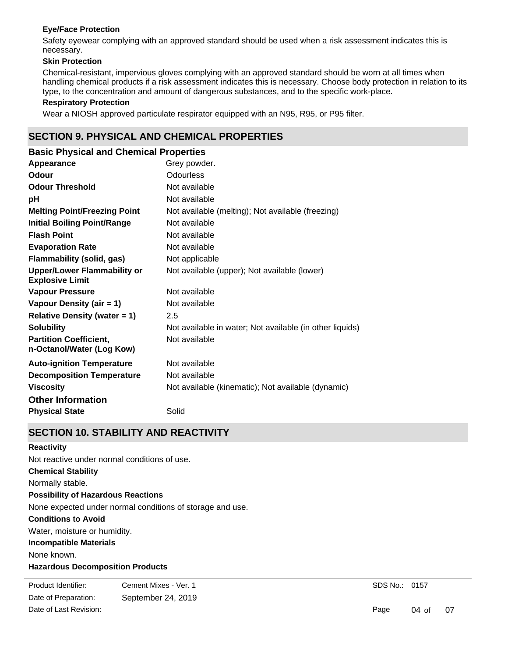### **Eye/Face Protection**

Safety eyewear complying with an approved standard should be used when a risk assessment indicates this is necessary.

### **Skin Protection**

Chemical-resistant, impervious gloves complying with an approved standard should be worn at all times when handling chemical products if a risk assessment indicates this is necessary. Choose body protection in relation to its type, to the concentration and amount of dangerous substances, and to the specific work-place.

#### **Respiratory Protection**

Wear a NIOSH approved particulate respirator equipped with an N95, R95, or P95 filter.

# **SECTION 9. PHYSICAL AND CHEMICAL PROPERTIES**

| <b>Basic Physical and Chemical Properties</b>                |                                                          |
|--------------------------------------------------------------|----------------------------------------------------------|
| Appearance                                                   | Grey powder.                                             |
| Odour                                                        | <b>Odourless</b>                                         |
| <b>Odour Threshold</b>                                       | Not available                                            |
| рH                                                           | Not available                                            |
| <b>Melting Point/Freezing Point</b>                          | Not available (melting); Not available (freezing)        |
| <b>Initial Boiling Point/Range</b>                           | Not available                                            |
| <b>Flash Point</b>                                           | Not available                                            |
| <b>Evaporation Rate</b>                                      | Not available                                            |
| <b>Flammability (solid, gas)</b>                             | Not applicable                                           |
| <b>Upper/Lower Flammability or</b><br><b>Explosive Limit</b> | Not available (upper); Not available (lower)             |
| <b>Vapour Pressure</b>                                       | Not available                                            |
| Vapour Density (air = 1)                                     | Not available                                            |
| Relative Density (water $= 1$ )                              | 2.5                                                      |
| <b>Solubility</b>                                            | Not available in water; Not available (in other liquids) |
| <b>Partition Coefficient,</b><br>n-Octanol/Water (Log Kow)   | Not available                                            |
| <b>Auto-ignition Temperature</b>                             | Not available                                            |
| <b>Decomposition Temperature</b>                             | Not available                                            |
| <b>Viscosity</b>                                             | Not available (kinematic); Not available (dynamic)       |
| <b>Other Information</b>                                     |                                                          |
| <b>Physical State</b>                                        | Solid                                                    |

# **SECTION 10. STABILITY AND REACTIVITY**

#### **Reactivity**

**Chemical Stability** Normally stable. **Conditions to Avoid** Water, moisture or humidity. **Incompatible Materials** None known. **Hazardous Decomposition Products** Under normal conditions of storage and use, hazardous decomposition products should not be produced. **Possibility of Hazardous Reactions** None expected under normal conditions of storage and use. Not reactive under normal conditions of use.

Date of Preparation: September 24, 2019 Product Identifier: Cement Mixes - Ver. 1 Date of Last Revision:

SDS No.: 0157

Page 04 of 07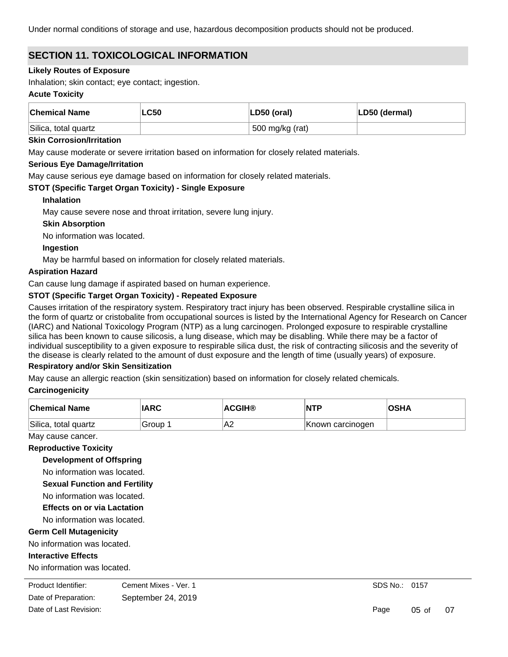Under normal conditions of storage and use, hazardous decomposition products should not be produced.

# **SECTION 11. TOXICOLOGICAL INFORMATION**

### **Likely Routes of Exposure**

Inhalation; skin contact; eye contact; ingestion.

#### **Acute Toxicity**

| <b>Chemical Name</b> | <b>LC50</b> | $ LD50$ (oral)  | LD50 (dermal) |
|----------------------|-------------|-----------------|---------------|
| Silica, total quartz |             | 500 mg/kg (rat) |               |

#### **Skin Corrosion/Irritation**

May cause moderate or severe irritation based on information for closely related materials.

#### **Serious Eye Damage/Irritation**

May cause serious eye damage based on information for closely related materials.

# **STOT (Specific Target Organ Toxicity) - Single Exposure**

#### **Inhalation**

May cause severe nose and throat irritation, severe lung injury.

# **Skin Absorption**

No information was located.

# **Ingestion**

May be harmful based on information for closely related materials.

#### **Aspiration Hazard**

Can cause lung damage if aspirated based on human experience.

# **STOT (Specific Target Organ Toxicity) - Repeated Exposure**

Causes irritation of the respiratory system. Respiratory tract injury has been observed. Respirable crystalline silica in the form of quartz or cristobalite from occupational sources is listed by the International Agency for Research on Cancer (IARC) and National Toxicology Program (NTP) as a lung carcinogen. Prolonged exposure to respirable crystalline silica has been known to cause silicosis, a lung disease, which may be disabling. While there may be a factor of individual susceptibility to a given exposure to respirable silica dust, the risk of contracting silicosis and the severity of the disease is clearly related to the amount of dust exposure and the length of time (usually years) of exposure.

# **Respiratory and/or Skin Sensitization**

May cause an allergic reaction (skin sensitization) based on information for closely related chemicals.

# **Carcinogenicity**

| <b>Chemical Name</b> | <b>IARC</b> | <b>ACGIH®</b>   | <b>NTP</b>       | <b>OSHA</b> |
|----------------------|-------------|-----------------|------------------|-------------|
| Silica, total quartz | Group       | IA <sub>2</sub> | Known carcinogen |             |

# May cause cancer.

### **Reproductive Toxicity**

**Development of Offspring**

No information was located.

**Sexual Function and Fertility**

No information was located.

# **Effects on or via Lactation**

No information was located.

# **Germ Cell Mutagenicity**

No information was located.

# **Interactive Effects**

No information was located.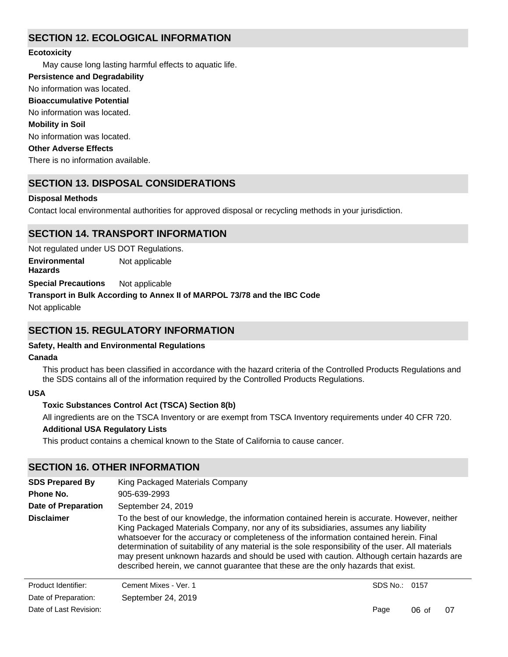# **SECTION 12. ECOLOGICAL INFORMATION**

# **Ecotoxicity**

May cause long lasting harmful effects to aquatic life.

**Persistence and Degradability**

No information was located.

**Bioaccumulative Potential**

No information was located.

# **Mobility in Soil**

No information was located.

# **Other Adverse Effects**

There is no information available.

# **SECTION 13. DISPOSAL CONSIDERATIONS**

# **Disposal Methods**

Contact local environmental authorities for approved disposal or recycling methods in your jurisdiction.

# **SECTION 14. TRANSPORT INFORMATION**

Not regulated under US DOT Regulations.

**Environmental Hazards** Not applicable

**Special Precautions** Not applicable

# **Transport in Bulk According to Annex II of MARPOL 73/78 and the IBC Code**

Not applicable

# **SECTION 15. REGULATORY INFORMATION**

# **Safety, Health and Environmental Regulations**

# **Canada**

This product has been classified in accordance with the hazard criteria of the Controlled Products Regulations and the SDS contains all of the information required by the Controlled Products Regulations.

# **USA**

# **Toxic Substances Control Act (TSCA) Section 8(b)**

All ingredients are on the TSCA Inventory or are exempt from TSCA Inventory requirements under 40 CFR 720.

# **Additional USA Regulatory Lists**

This product contains a chemical known to the State of California to cause cancer.

# **SECTION 16. OTHER INFORMATION**

| <b>SDS Prepared By</b>     | King Packaged Materials Company                                                                                                                                                                                                                                                                                                                                                                                                                                                                                                                                       |               |         |    |  |  |  |
|----------------------------|-----------------------------------------------------------------------------------------------------------------------------------------------------------------------------------------------------------------------------------------------------------------------------------------------------------------------------------------------------------------------------------------------------------------------------------------------------------------------------------------------------------------------------------------------------------------------|---------------|---------|----|--|--|--|
| Phone No.                  | 905-639-2993                                                                                                                                                                                                                                                                                                                                                                                                                                                                                                                                                          |               |         |    |  |  |  |
| <b>Date of Preparation</b> | September 24, 2019                                                                                                                                                                                                                                                                                                                                                                                                                                                                                                                                                    |               |         |    |  |  |  |
| <b>Disclaimer</b>          | To the best of our knowledge, the information contained herein is accurate. However, neither<br>King Packaged Materials Company, nor any of its subsidiaries, assumes any liability<br>whatsoever for the accuracy or completeness of the information contained herein. Final<br>determination of suitability of any material is the sole responsibility of the user. All materials<br>may present unknown hazards and should be used with caution. Although certain hazards are<br>described herein, we cannot guarantee that these are the only hazards that exist. |               |         |    |  |  |  |
| Product Identifier:        | Cement Mixes - Ver. 1                                                                                                                                                                                                                                                                                                                                                                                                                                                                                                                                                 | SDS No.: 0157 |         |    |  |  |  |
| Date of Preparation:       | September 24, 2019                                                                                                                                                                                                                                                                                                                                                                                                                                                                                                                                                    |               |         |    |  |  |  |
| Date of Last Revision:     |                                                                                                                                                                                                                                                                                                                                                                                                                                                                                                                                                                       | Page          | $06$ of | 07 |  |  |  |